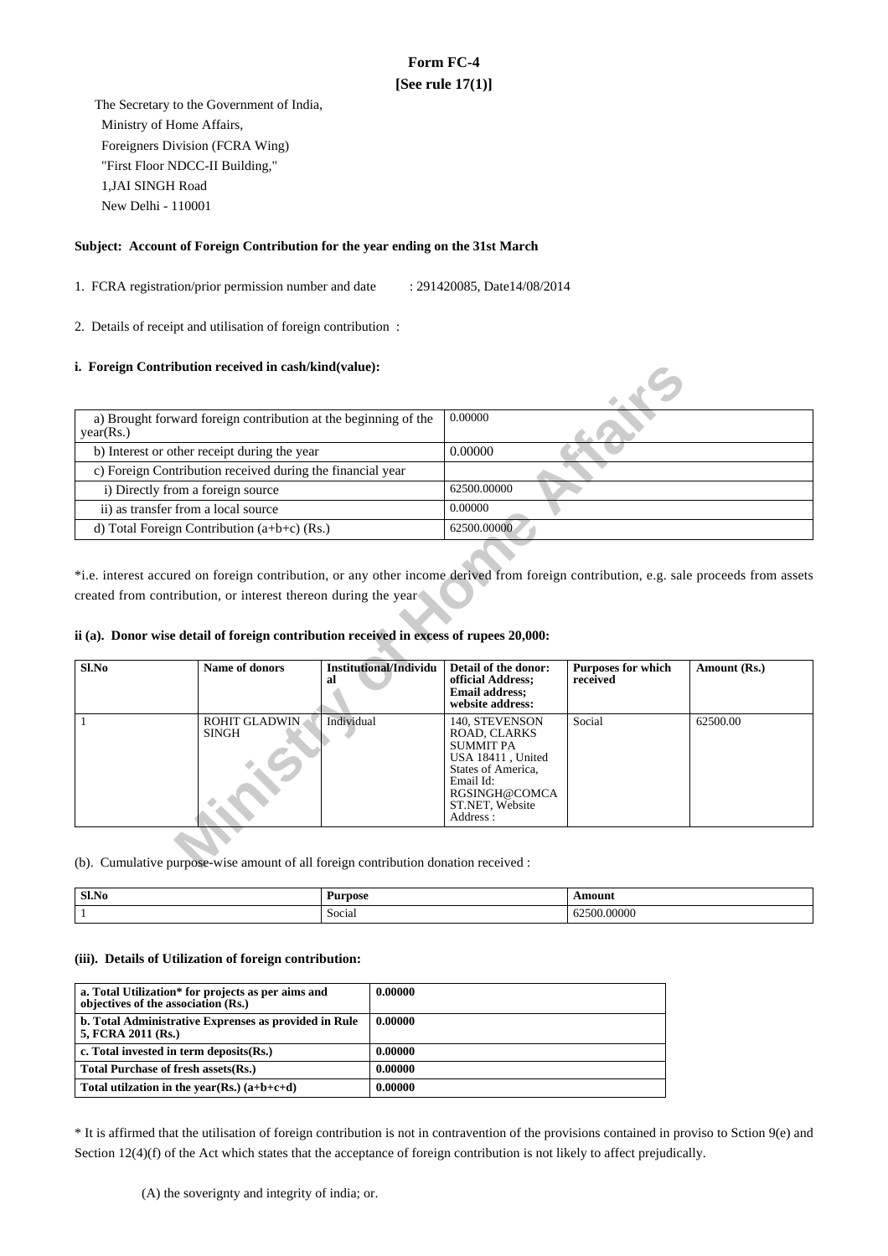# **Form FC-4 [See rule 17(1)]**

 The Secretary to the Government of India, Ministry of Home Affairs, Foreigners Division (FCRA Wing) "First Floor NDCC-II Building," 1,JAI SINGH Road New Delhi - 110001

### **Subject: Account of Foreign Contribution for the year ending on the 31st March**

1. FCRA registration/prior permission number and date : 291420085, Date14/08/2014

2. Details of receipt and utilisation of foreign contribution :

## **i. Foreign Contribution received in cash/kind(value):**

| a) Brought forward foreign contribution at the beginning of the | 0.00000     |
|-----------------------------------------------------------------|-------------|
| year(Rs.)                                                       |             |
| b) Interest or other receipt during the year                    | 0.00000     |
| c) Foreign Contribution received during the financial year      |             |
| i) Directly from a foreign source                               | 62500,00000 |
| ii) as transfer from a local source                             | 0.00000     |
| d) Total Foreign Contribution $(a+b+c)$ (Rs.)                   | 62500.00000 |

### **ii (a). Donor wise detail of foreign contribution received in excess of rupees 20,000:**

| year(Rs.)                                                  |                                                                                                                 |                                                                 | 0.00000                                                                                                                     |                                       |              |  |
|------------------------------------------------------------|-----------------------------------------------------------------------------------------------------------------|-----------------------------------------------------------------|-----------------------------------------------------------------------------------------------------------------------------|---------------------------------------|--------------|--|
|                                                            |                                                                                                                 | a) Brought forward foreign contribution at the beginning of the |                                                                                                                             |                                       |              |  |
|                                                            | b) Interest or other receipt during the year                                                                    |                                                                 | 0.00000                                                                                                                     |                                       |              |  |
| c) Foreign Contribution received during the financial year |                                                                                                                 |                                                                 |                                                                                                                             |                                       |              |  |
| i) Directly from a foreign source                          |                                                                                                                 |                                                                 | 62500.00000                                                                                                                 |                                       |              |  |
| ii) as transfer from a local source                        |                                                                                                                 |                                                                 | 0.00000                                                                                                                     |                                       |              |  |
|                                                            | d) Total Foreign Contribution $(a+b+c)$ (Rs.)                                                                   |                                                                 | 62500.00000                                                                                                                 |                                       |              |  |
| $Sl$ .No                                                   | ii (a). Donor wise detail of foreign contribution received in excess of rupees 20,000:<br><b>Name of donors</b> | <b>Institutional/Individu</b><br>al                             | Detail of the donor:<br>official Address;<br><b>Email address:</b>                                                          | <b>Purposes for which</b><br>received | Amount (Rs.) |  |
|                                                            |                                                                                                                 |                                                                 | website address:                                                                                                            |                                       |              |  |
|                                                            | <b>ROHIT GLADWIN</b><br><b>SINGH</b>                                                                            | Individual                                                      | 140, STEVENSON<br>ROAD, CLARKS<br><b>SUMMIT PA</b><br>USA 18411, United<br>States of America,<br>Email Id:<br>RGSINGH@COMCA | Social                                | 62500.00     |  |

(b). Cumulative purpose-wise amount of all foreign contribution donation received :

| Sl.No | Purpose          | Amount                                |
|-------|------------------|---------------------------------------|
|       | $\sim$<br>Social | $\sim$ $\sim$ $\sim$<br>v.vvvvv<br>∪∠ |

#### **(iii). Details of Utilization of foreign contribution:**

| a. Total Utilization* for projects as per aims and<br>objectives of the association (Rs.) | 0.00000 |
|-------------------------------------------------------------------------------------------|---------|
| b. Total Administrative Exprenses as provided in Rule<br>5, FCRA 2011 (Rs.)               | 0.00000 |
| c. Total invested in term deposits(Rs.)                                                   | 0.00000 |
| Total Purchase of fresh assets (Rs.)                                                      | 0.00000 |
| Total utilization in the year(Rs.) $(a+b+c+d)$                                            | 0.00000 |

\* It is affirmed that the utilisation of foreign contribution is not in contravention of the provisions contained in proviso to Sction 9(e) and Section 12(4)(f) of the Act which states that the acceptance of foreign contribution is not likely to affect prejudically.